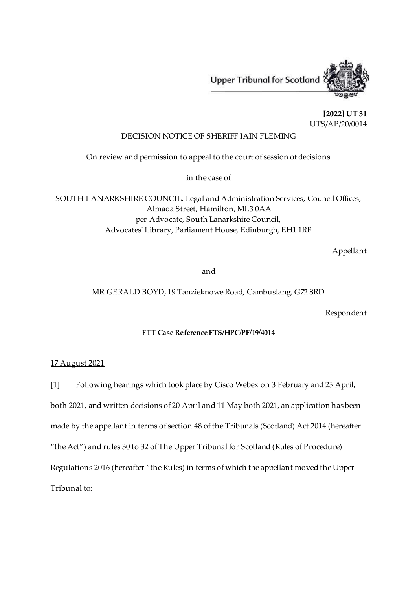

**[2022] UT 31** UTS/AP/20/0014

## DECISION NOTICE OF SHERIFF IAIN FLEMING

On review and permission to appeal to the court of session of decisions

in the case of

SOUTH LANARKSHIRE COUNCIL, Legal and Administration Services, Council Offices, Almada Street, Hamilton, ML3 0AA per Advocate, South Lanarkshire Council, Advocates' Library, Parliament House, Edinburgh, EH1 1RF

Appellant

and

MR GERALD BOYD, 19 Tanzieknowe Road, Cambuslang, G72 8RD

**Respondent** 

## **FTT Case Reference FTS/HPC/PF/19/4014**

## 17 August 2021

[1] Following hearings which took place by Cisco Webex on 3 February and 23 April,

both 2021, and written decisions of 20 April and 11 May both 2021, an application has been

made by the appellant in terms of section 48 of the Tribunals (Scotland) Act 2014 (hereafter

"the Act") and rules 30 to 32 of The Upper Tribunal for Scotland (Rules of Procedure)

Regulations 2016 (hereafter "the Rules) in terms of which the appellant moved the Upper

Tribunal to: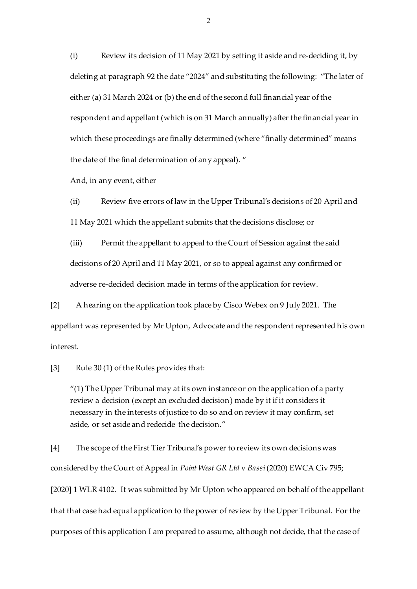(i) Review its decision of 11 May 2021 by setting it aside and re-deciding it, by deleting at paragraph 92 the date "2024" and substituting the following: "The later of either (a) 31 March 2024 or (b) the end of the second full financial year of the respondent and appellant (which is on 31 March annually) after the financial year in which these proceedings are finally determined (where "finally determined" means the date of the final determination of any appeal). "

And, in any event, either

(ii) Review five errors of law in the Upper Tribunal's decisions of 20 April and 11 May 2021 which the appellant submits that the decisions disclose; or

(iii) Permit the appellant to appeal to the Court of Session against the said decisions of 20 April and 11 May 2021, or so to appeal against any confirmed or adverse re-decided decision made in terms of the application for review.

[2] A hearing on the application took place by Cisco Webex on 9 July 2021. The appellant was represented by Mr Upton, Advocate and the respondent represented his own interest.

[3] Rule 30 (1) of the Rules provides that:

 $''(1)$  The Upper Tribunal may at its own instance or on the application of a party review a decision (except an excluded decision) made by it if it considers it necessary in the interests of justice to do so and on review it may confirm, set aside, or set aside and redecide the decision."

[4] The scope of the First Tier Tribunal's power to review its own decisions was considered by the Court of Appeal in *Point West GR Ltd* v *Bassi*(2020) EWCA Civ 795; [2020] 1 WLR 4102. It was submitted by Mr Upton who appeared on behalf of the appellant that that case had equal application to the power of review by the Upper Tribunal. For the purposes of this application I am prepared to assume, although not decide, that the case of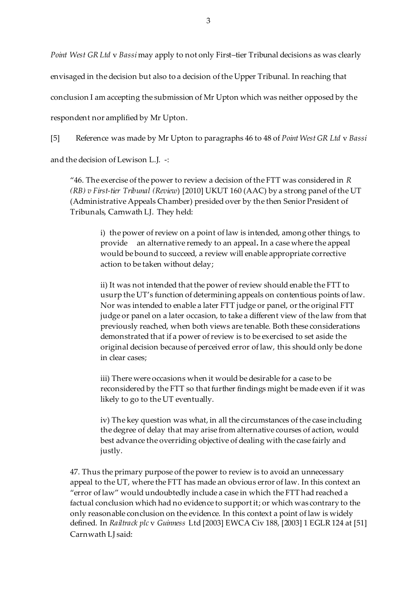*Point West GR Ltd* v *Bassi* may apply to not only First–tier Tribunal decisions as was clearly

envisaged in the decision but also to a decision of the Upper Tribunal. In reaching that

conclusion I am accepting the submission of Mr Upton which was neither opposed by the

respondent nor amplified by Mr Upton.

[5] Reference was made by Mr Upton to paragraphs 46 to 48 of *Point West GR Ltd* v *Bassi*

and the decision of Lewison L.J. -:

"46. The exercise of the power to review a decision of the FTT was considered in *R (RB) v First-tier Tribunal (Review*) [2010] UKUT 160 (AAC) by a strong panel of the UT (Administrative Appeals Chamber) presided over by the then Senior President of Tribunals, Carnwath LJ. They held:

> i) the power of review on a point of law is intended, among other things, to provide an alternative remedy to an appeal**.** In a case where the appeal would be bound to succeed, a review will enable appropriate corrective action to be taken without delay;

ii) It was not intended that the power of review should enable the FTT to usurp the UT's function of determining appeals on contentious points of law. Nor was intended to enable a later FTT judge or panel, or the original FTT judge or panel on a later occasion, to take a different view of the law from that previously reached, when both views are tenable. Both these considerations demonstrated that if a power of review is to be exercised to set aside the original decision because of perceived error of law, this should only be done in clear cases;

iii) There were occasions when it would be desirable for a case to be reconsidered by the FTT so that further findings might be made even if it was likely to go to the UT eventually.

iv) The key question was what, in all the circumstances of the case including the degree of delay that may arise from alternative courses of action, would best advance the overriding objective of dealing with the case fairly and justly.

47. Thus the primary purpose of the power to review is to avoid an unnecessary appeal to the UT, where the FTT has made an obvious error of law. In this context an "error of law" would undoubtedly include a case in which the FTT had reached a factual conclusion which had no evidence to support it; or which was contrary to the only reasonable conclusion on the evidence. In this context a point of law is widely defined. In *Railtrack plc* v *Guinness* Ltd [2003] EWCA Civ 188, [2003] 1 EGLR 124 at [51] Carnwath LJ said: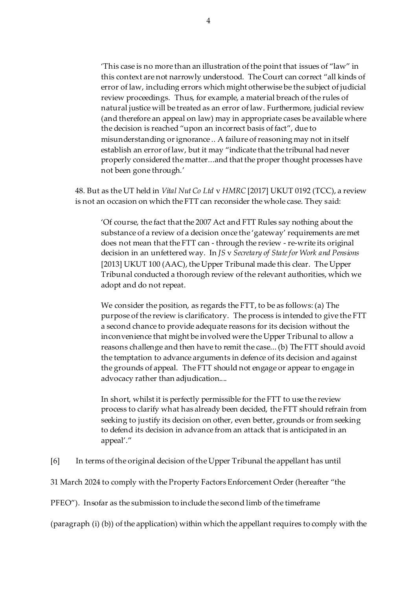'This case is no more than an illustration of the point that issues of "law" in this context are not narrowly understood. The Court can correct "all kinds of error of law, including errors which might otherwise be the subject of judicial review proceedings. Thus, for example, a material breach of the rules of natural justice will be treated as an error of law. Furthermore, judicial review (and therefore an appeal on law) may in appropriate cases be available where the decision is reached "upon an incorrect basis of fact", due to misunderstanding or ignorance .. A failure of reasoning may not in itself establish an error of law, but it may "indicate that the tribunal had never properly considered the matter...and that the proper thought processes have not been gone through.'

48. But as the UT held in *Vital Nut Co Ltd* v *HMRC* [2017] UKUT 0192 (TCC), a review is not an occasion on which the FTT can reconsider the whole case. They said:

'Of course, the fact that the 2007 Act and FTT Rules say nothing about the substance of a review of a decision once the 'gateway' requirements are met does not mean that the FTT can - through the review - re-write its original decision in an unfettered way. In *JS* v *Secretary of State for Work and Pensions* [2013] UKUT 100 (AAC), the Upper Tribunal made this clear. The Upper Tribunal conducted a thorough review of the relevant authorities, which we adopt and do not repeat.

We consider the position, as regards the FTT, to be as follows: (a) The purpose of the review is clarificatory. The process is intended to give the FTT a second chance to provide adequate reasons for its decision without the inconvenience that might be involved were the Upper Tribunal to allow a reasons challenge and then have to remit the case... (b) The FTT should avoid the temptation to advance arguments in defence of its decision and against the grounds of appeal. The FTT should not engage or appear to engage in advocacy rather than adjudication....

In short, whilst it is perfectly permissible for the FTT to use the review process to clarify what has already been decided, the FTT should refrain from seeking to justify its decision on other, even better, grounds or from seeking to defend its decision in advance from an attack that is anticipated in an appeal'."

[6] In terms of the original decision of the Upper Tribunal the appellant has until

31 March 2024 to comply with the Property Factors Enforcement Order (hereafter "the

PFEO"). Insofar as the submission to include the second limb of the timeframe

(paragraph (i) (b)) of the application) within which the appellant requires to comply with the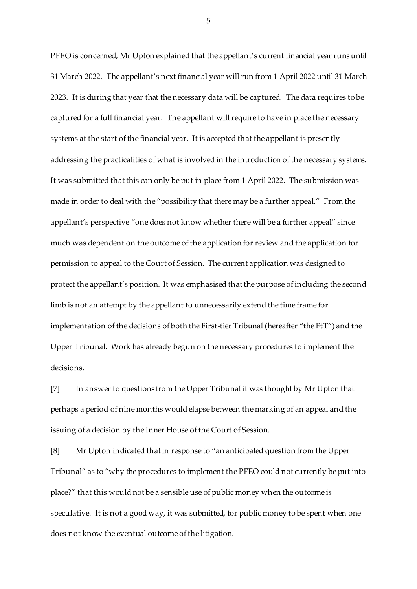PFEO is concerned, Mr Upton explained that the appellant's current financial year runs until 31 March 2022. The appellant's next financial year will run from 1 April 2022 until 31 March 2023. It is during that year that the necessary data will be captured. The data requires to be captured for a full financial year. The appellant will require to have in place the necessary systems at the start of the financial year. It is accepted that the appellant is presently addressing the practicalities of what is involved in the introduction of the necessary systems. It was submitted that this can only be put in place from 1 April 2022. The submission was made in order to deal with the "possibility that there may be a further appeal." From the appellant's perspective "one does not know whether there will be a further appeal" since much was dependent on the outcome of the application for review and the application for permission to appeal to the Court of Session. The current application was designed to protect the appellant's position. It was emphasised that the purpose of including the second limb is not an attempt by the appellant to unnecessarily extend the time frame for implementation of the decisions of both the First-tier Tribunal (hereafter "the FtT") and the Upper Tribunal. Work has already begun on the necessary procedures to implement the decisions.

[7] In answer to questions from the Upper Tribunal it was thought by Mr Upton that perhaps a period of nine months would elapse between the marking of an appeal and the issuing of a decision by the Inner House of the Court of Session.

[8] Mr Upton indicated that in response to "an anticipated question from the Upper Tribunal" as to "why the procedures to implement the PFEO could not currently be put into place?" that this would not be a sensible use of public money when the outcome is speculative. It is not a good way, it was submitted, for public money to be spent when one does not know the eventual outcome of the litigation.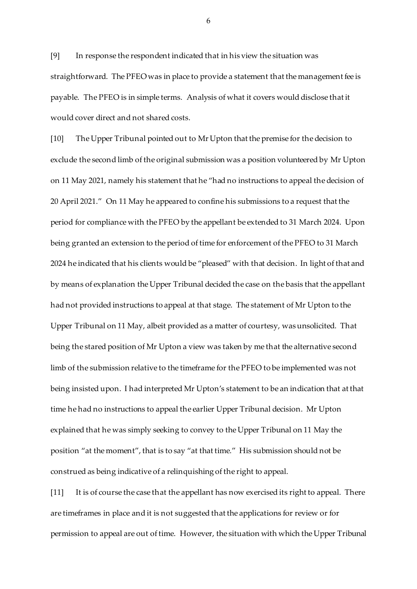[9] In response the respondent indicated that in his view the situation was straightforward. The PFEO was in place to provide a statement that the management fee is payable. The PFEO is in simple terms. Analysis of what it covers would disclose that it would cover direct and not shared costs.

[10] The Upper Tribunal pointed out to Mr Upton that the premise for the decision to exclude the second limb of the original submission was a position volunteered by Mr Upton on 11 May 2021, namely his statement that he "had no instructions to appeal the decision of 20 April 2021." On 11 May he appeared to confine his submissions to a request that the period for compliance with the PFEO by the appellant be extended to 31 March 2024. Upon being granted an extension to the period of time for enforcement of the PFEO to 31 March 2024 he indicated that his clients would be "pleased" with that decision. In light of that and by means of explanation the Upper Tribunal decided the case on the basis that the appellant had not provided instructions to appeal at that stage. The statement of Mr Upton to the Upper Tribunal on 11 May, albeit provided as a matter of courtesy, was unsolicited. That being the stared position of Mr Upton a view was taken by me that the alternative second limb of the submission relative to the timeframe for the PFEO to be implemented was not being insisted upon. I had interpreted Mr Upton's statement to be an indication that at that time he had no instructions to appeal the earlier Upper Tribunal decision. Mr Upton explained that he was simply seeking to convey to the Upper Tribunal on 11 May the position "at the moment", that is to say "at that time." His submission should not be construed as being indicative of a relinquishing of the right to appeal.

[11] It is of course the case that the appellant has now exercised its right to appeal. There are timeframes in place and it is not suggested that the applications for review or for permission to appeal are out of time. However, the situation with which the Upper Tribunal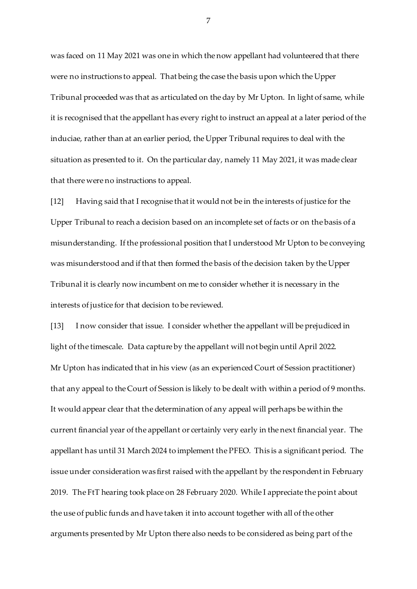was faced on 11 May 2021 was one in which the now appellant had volunteered that there were no instructions to appeal. That being the case the basis upon which the Upper Tribunal proceeded was that as articulated on the day by Mr Upton. In light of same, while it is recognised that the appellant has every right to instruct an appeal at a later period of the induciae, rather than at an earlier period, the Upper Tribunal requires to deal with the situation as presented to it. On the particular day, namely 11 May 2021, it was made clear that there were no instructions to appeal.

[12] Having said that I recognise that it would not be in the interests of justice for the Upper Tribunal to reach a decision based on an incomplete set of facts or on the basis of a misunderstanding. If the professional position that I understood Mr Upton to be conveying was misunderstood and if that then formed the basis of the decision taken by the Upper Tribunal it is clearly now incumbent on me to consider whether it is necessary in the interests of justice for that decision to be reviewed.

[13] I now consider that issue. I consider whether the appellant will be prejudiced in light of the timescale. Data capture by the appellant will not begin until April 2022. Mr Upton has indicated that in his view (as an experienced Court of Session practitioner) that any appeal to the Court of Session is likely to be dealt with within a period of 9 months. It would appear clear that the determination of any appeal will perhaps be within the current financial year of the appellant or certainly very early in the next financial year. The appellant has until 31 March 2024 to implement the PFEO. This is a significant period. The issue under consideration was first raised with the appellant by the respondent in February 2019. The FtT hearing took place on 28 February 2020. While I appreciate the point about the use of public funds and have taken it into account together with all of the other arguments presented by Mr Upton there also needs to be considered as being part of the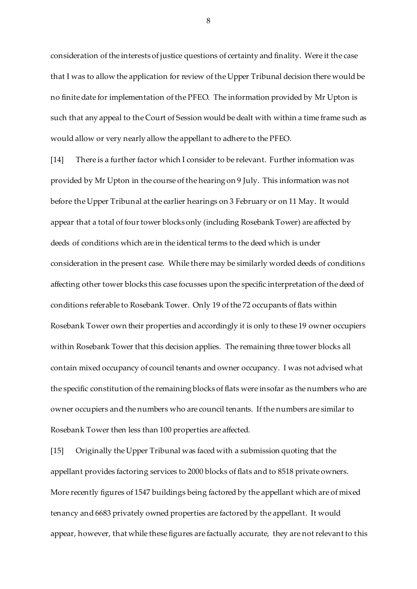consideration of the interests of justice questions of certainty and finality. Were it the case that I was to allow the application for review of the Upper Tribunal decision there would be no finite date for implementation of the PFEO. The information provided by Mr Upton is such that any appeal to the Court of Session would be dealt with within a time frame such as would allow or very nearly allow the appellant to adhere to the PFEO.

[14] There is a further factor which I consider to be relevant. Further information was provided by Mr Upton in the course of the hearing on 9 July. This information was not before the Upper Tribunal at the earlier hearings on 3 February or on 11 May. It would appear that a total of four tower blocks only (including Rosebank Tower) are affected by deeds of conditions which are in the identical terms to the deed which is under consideration in the present case. While there may be similarly worded deeds of conditions affecting other tower blocks this case focusses upon the specific interpretation of the deed of conditions referable to Rosebank Tower. Only 19 of the 72 occupants of flats within Rosebank Tower own their properties and accordingly it is only to these 19 owner occupiers within Rosebank Tower that this decision applies. The remaining three tower blocks all contain mixed occupancy of council tenants and owner occupancy. I was not advised what the specific constitution of the remaining blocks of flats were insofar as the numbers who are owner occupiers and the numbers who are council tenants. If the numbers are similar to Rosebank Tower then less than 100 properties are affected.

[15] Originally the Upper Tribunal was faced with a submission quoting that the appellant provides factoring services to 2000 blocks of flats and to 8518 private owners. More recently figures of 1547 buildings being factored by the appellant which are of mixed tenancy and 6683 privately owned properties are factored by the appellant. It would appear, however, that while these figures are factually accurate, they are not relevant to this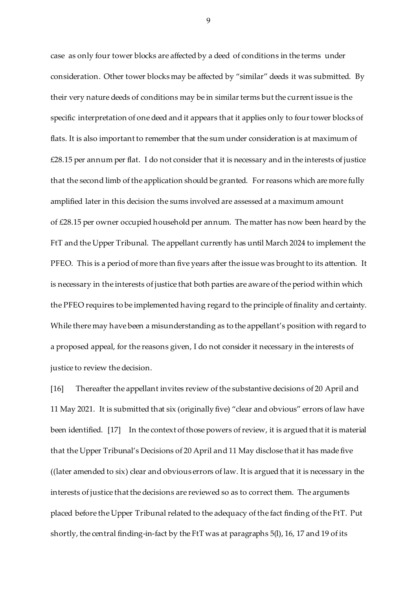case as only four tower blocks are affected by a deed of conditions in the terms under consideration. Other tower blocks may be affected by "similar" deeds it was submitted. By their very nature deeds of conditions may be in similar terms but the current issue is the specific interpretation of one deed and it appears that it applies only to four tower blocks of flats. It is also important to remember that the sum under consideration is at maximum of £28.15 per annum per flat. I do not consider that it is necessary and in the interests of justice that the second limb of the application should be granted. For reasons which are more fully amplified later in this decision the sums involved are assessed at a maximum amount of £28.15 per owner occupied household per annum. The matter has now been heard by the FtT and the Upper Tribunal. The appellant currently has until March 2024 to implement the PFEO. This is a period of more than five years after the issue was brought to its attention. It is necessary in the interests of justice that both parties are aware of the period within which the PFEO requires to be implemented having regard to the principle of finality and certainty. While there may have been a misunderstanding as to the appellant's position with regard to a proposed appeal, for the reasons given, I do not consider it necessary in the interests of justice to review the decision.

[16] Thereafter the appellant invites review of the substantive decisions of 20 April and 11 May 2021. It is submitted that six (originally five) "clear and obvious" errors of law have been identified. [17] In the context of those powers of review, it is argued that it is material that the Upper Tribunal's Decisions of 20 April and 11 May disclose that it has made five ((later amended to six) clear and obvious errors of law. It is argued that it is necessary in the interests of justice that the decisions are reviewed so as to correct them. The arguments placed before the Upper Tribunal related to the adequacy of the fact finding of the FtT. Put shortly, the central finding-in-fact by the FtT was at paragraphs 5(l), 16, 17 and 19 of its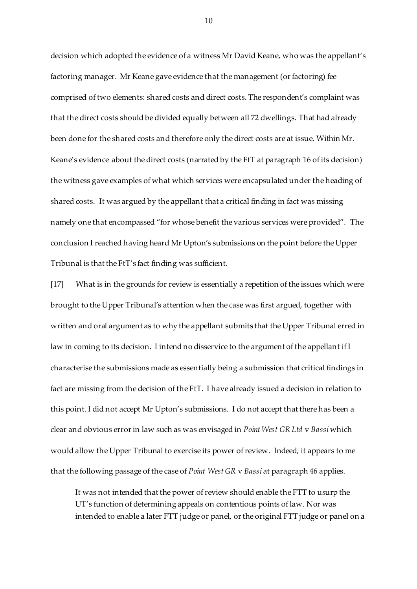decision which adopted the evidence of a witness Mr David Keane, who was the appellant's factoring manager. Mr Keane gave evidence that the management (or factoring) fee comprised of two elements: shared costs and direct costs. The respondent's complaint was that the direct costs should be divided equally between all 72 dwellings. That had already been done for the shared costs and therefore only the direct costs are at issue. Within Mr. Keane's evidence about the direct costs (narrated by the FtT at paragraph 16 of its decision) the witness gave examples of what which services were encapsulated under the heading of shared costs. It was argued by the appellant that a critical finding in fact was missing namely one that encompassed "for whose benefit the various services were provided". The conclusion I reached having heard Mr Upton's submissions on the point before the Upper Tribunal is that the FtT's fact finding was sufficient.

[17] What is in the grounds for review is essentially a repetition of the issues which were brought to the Upper Tribunal's attention when the case was first argued, together with written and oral argument as to why the appellant submits that the Upper Tribunal erred in law in coming to its decision. I intend no disservice to the argument of the appellant if I characterise the submissions made as essentially being a submission that critical findings in fact are missing from the decision of the FtT. I have already issued a decision in relation to this point. I did not accept Mr Upton's submissions. I do not accept that there has been a clear and obvious error in law such as was envisaged in *Point West GR Ltd* v *Bassi* which would allow the Upper Tribunal to exercise its power of review. Indeed, it appears to me that the following passage of the case of *Point West GR* v *Bassi* at paragraph 46 applies.

It was not intended that the power of review should enable the FTT to usurp the UT's function of determining appeals on contentious points of law. Nor was intended to enable a later FTT judge or panel, or the original FTT judge or panel on a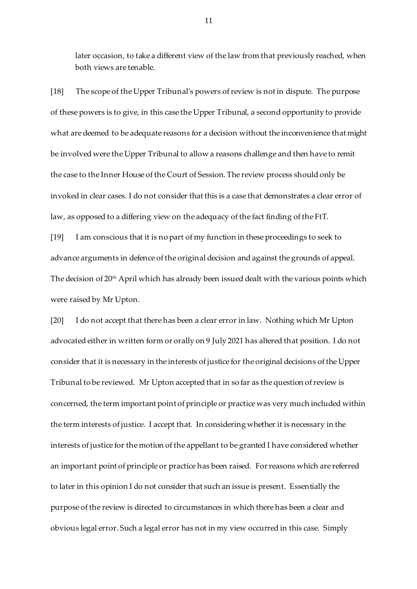later occasion, to take a different view of the law from that previously reached, when both views are tenable.

[18] The scope of the Upper Tribunal's powers of review is not in dispute. The purpose of these powers is to give, in this case the Upper Tribunal, a second opportunity to provide what are deemed to be adequate reasons for a decision without the inconvenience that might be involved were the Upper Tribunal to allow a reasons challenge and then have to remit the case to the Inner House of the Court of Session. The review process should only be invoked in clear cases. I do not consider that this is a case that demonstrates a clear error of law, as opposed to a differing view on the adequacy of the fact finding of the FtT.

[19] I am conscious that it is no part of my function in these proceedings to seek to advance arguments in defence of the original decision and against the grounds of appeal. The decision of 20<sup>th</sup> April which has already been issued dealt with the various points which were raised by Mr Upton.

[20] I do not accept that there has been a clear error in law. Nothing which Mr Upton advocated either in written form or orally on 9 July 2021 has altered that position. I do not consider that it is necessary in the interests of justice for the original decisions of the Upper Tribunal to be reviewed. Mr Upton accepted that in so far as the question of review is concerned, the term important point of principle or practice was very much included within the term interests of justice. I accept that. In considering whether it is necessary in the interests of justice for the motion of the appellant to be granted I have considered whether an important point of principle or practice has been raised. For reasons which are referred to later in this opinion I do not consider that such an issue is present. Essentially the purpose of the review is directed to circumstances in which there has been a clear and obvious legal error. Such a legal error has not in my view occurred in this case. Simply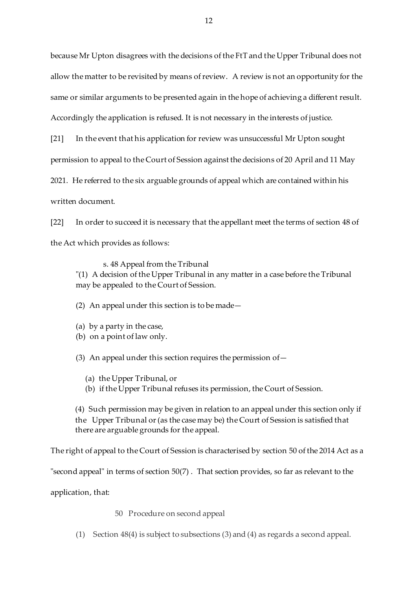because Mr Upton disagrees with the decisions of the FtT and the Upper Tribunal does not allow the matter to be revisited by means of review. A review is not an opportunity for the same or similar arguments to be presented again in the hope of achieving a different result. Accordingly the application is refused. It is not necessary in the interests of justice.

[21] In the event that his application for review was unsuccessful Mr Upton sought

permission to appeal to the Court of Session against the decisions of 20 April and 11 May

2021. He referred to the six arguable grounds of appeal which are contained within his

written document.

[22] In order to succeed it is necessary that the appellant meet the terms of section 48 of the Act which provides as follows:

s. 48 Appeal from the Tribunal

"(1) A decision of the Upper Tribunal in any matter in a case before the Tribunal may be appealed to the Court of Session.

(2) An appeal under this section is to be made—

- (a) by a party in the case,
- (b) on a point of law only.

(3) An appeal under this section requires the permission of  $-$ 

- (a) the Upper Tribunal, or
- (b) if the Upper Tribunal refuses its permission, the Court of Session.

(4) Such permission may be given in relation to an appeal under this section only if the Upper Tribunal or (as the case may be) the Court of Session is satisfied that there are arguable grounds for the appeal.

The right of appeal to the Court of Session is characterised by [section](https://uk.westlaw.com/Document/I77C18120CC5A11E3B449E8361748CF4A/View/FullText.html?originationContext=document&transitionType=DocumentItem&contextData=(sc.Search)) 50 of the 2014 Act as a

"second appeal" in terms of [section](https://uk.westlaw.com/Document/I77C18120CC5A11E3B449E8361748CF4A/View/FullText.html?originationContext=document&transitionType=DocumentItem&contextData=(sc.Search)) 50(7) . That section provides, so far as relevant to the

application, that:

50 Procedure on second appeal

(1) Section 48(4) is subject to subsections (3) and (4) as regards a second appeal.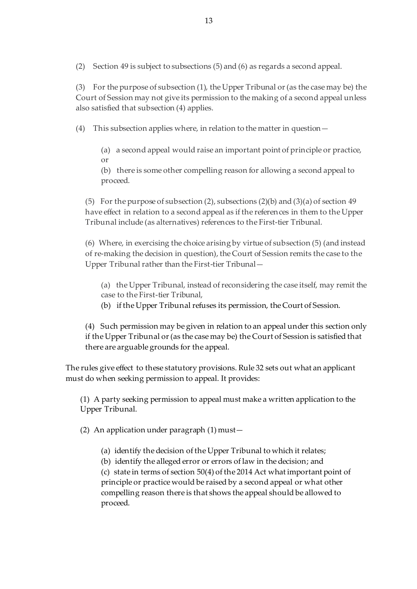(2) Section 49 is subject to subsections (5) and (6) as regards a second appeal.

(3) For the purpose of subsection (1), the Upper Tribunal or (as the case may be) the Court of Session may not give its permission to the making of a second appeal unless also satisfied that subsection (4) applies.

(4) This subsection applies where, in relation to the matter in question—

(a) a second appeal would raise an important point of principle or practice, or

(b) there is some other compelling reason for allowing a second appeal to proceed.

(5) For the purpose of subsection (2), subsections (2)(b) and (3)(a) of section 49 have effect in relation to a second appeal as if the references in them to the Upper Tribunal include (as alternatives) references to the First-tier Tribunal.

(6) Where, in exercising the choice arising by virtue of subsection (5) (and instead of re-making the decision in question), the Court of Session remits the case to the Upper Tribunal rather than the First-tier Tribunal—

(a) the Upper Tribunal, instead of reconsidering the case itself, may remit the case to the First-tier Tribunal,

(b) if the Upper Tribunal refuses its permission, the Court of Session.

(4) Such permission may be given in relation to an appeal under this section only if the Upper Tribunal or (as the case may be) the Court of Session is satisfied that there are arguable grounds for the appeal.

The rules give effect to these statutory provisions. [Rule 32](https://uk.westlaw.com/Document/ICC1C3A2068DA11E6B15BBE1B3E117B14/View/FullText.html?originationContext=document&transitionType=DocumentItem&contextData=(sc.Search)) sets out what an applicant must do when seeking permission to appeal. It provides:

(1) A party seeking permission to appeal must make a written application to the Upper Tribunal.

(2) An application under paragraph (1) must—

(a) identify the decision of the Upper Tribunal to which it relates;

(b) identify the alleged error or errors of law in the decision; and (c) state in terms of [section](https://uk.westlaw.com/Document/I77C18120CC5A11E3B449E8361748CF4A/View/FullText.html?originationContext=document&transitionType=DocumentItem&contextData=(sc.Search)) 50(4) of the 2014 Act what important point of principle or practice would be raised by a second appeal or what other compelling reason there is that shows the appeal should be allowed to proceed.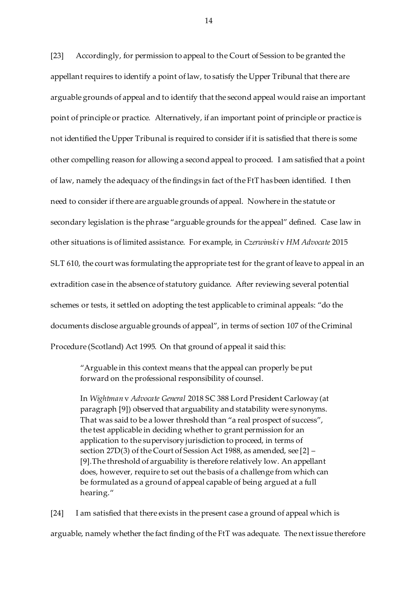[23] Accordingly, for permission to appeal to the Court of Session to be granted the appellant requires to identify a point of law, to satisfy the Upper Tribunal that there are arguable grounds of appeal and to identify that the second appeal would raise an important point of principle or practice. Alternatively, if an important point of principle or practice is not identified the Upper Tribunal is required to consider if it is satisfied that there is some other compelling reason for allowing a second appeal to proceed. I am satisfied that a point of law, namely the adequacy of the findings in fact of the FtT has been identified. I then need to consider if there are arguable grounds of appeal. Nowhere in the statute or secondary legislation is the phrase "arguable grounds for the appeal" defined. Case law in other situations is of limited assistance. For example, in *Czerwinski* v *HM Advocate* 2015 SLT 610, the court was formulating the appropriate test for the grant of leave to appeal in an extradition case in the absence of statutory guidance. After reviewing several potential schemes or tests, it settled on adopting the test applicable to criminal appeals: "do the documents disclose arguable grounds of appeal", in terms of section 107 of the Criminal Procedure (Scotland) Act 1995. On that ground of appeal it said this:

"Arguable in this context means that the appeal can properly be put forward on the professional responsibility of counsel.

In *Wightman* v *Advocate General* 2018 SC 388 Lord President Carloway (at paragraph [9]) observed that arguability and statability were synonyms. That was said to be a lower threshold than "a real prospect of success", the test applicable in deciding whether to grant permission for an application to the supervisory jurisdiction to proceed, in terms of section 27D(3) of the Court of Session Act 1988, as amended, see [2] – [9].The threshold of arguability is therefore relatively low. An appellant does, however, require to set out the basis of a challenge from which can be formulated as a ground of appeal capable of being argued at a full hearing."

[24] I am satisfied that there exists in the present case a ground of appeal which is arguable, namely whether the fact finding of the FtT was adequate. The next issue therefore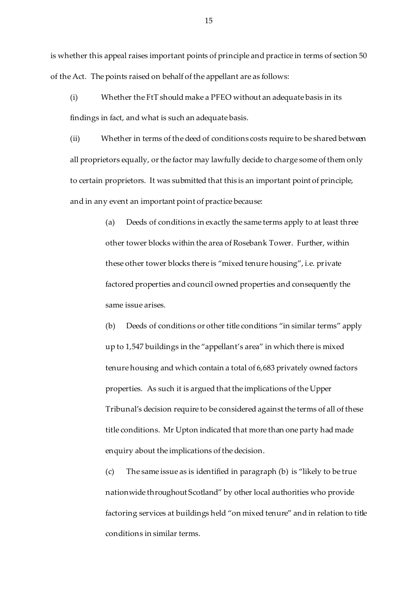is whether this appeal raises important points of principle and practice in terms of section 50 of the Act. The points raised on behalf of the appellant are as follows:

(i) Whether the FtT should make a PFEO without an adequate basis in its findings in fact, and what is such an adequate basis.

(ii) Whether in terms of the deed of conditions costs require to be shared between all proprietors equally, or the factor may lawfully decide to charge some of them only to certain proprietors. It was submitted that this is an important point of principle, and in any event an important point of practice because:

> (a) Deeds of conditions in exactly the same terms apply to at least three other tower blocks within the area of Rosebank Tower. Further, within these other tower blocks there is "mixed tenure housing", i.e. private factored properties and council owned properties and consequently the same issue arises.

(b) Deeds of conditions or other title conditions "in similar terms" apply up to 1,547 buildings in the "appellant's area" in which there is mixed tenure housing and which contain a total of 6,683 privately owned factors properties. As such it is argued that the implications of the Upper Tribunal's decision require to be considered against the terms of all of these title conditions. Mr Upton indicated that more than one party had made enquiry about the implications of the decision.

(c) The same issue as is identified in paragraph (b) is "likely to be true nationwide throughout Scotland" by other local authorities who provide factoring services at buildings held "on mixed tenure" and in relation to title conditions in similar terms.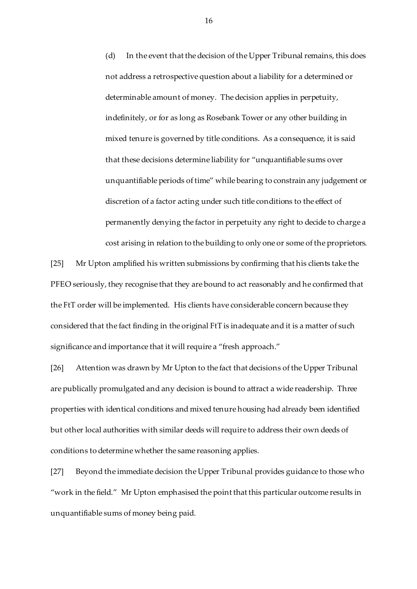(d) In the event that the decision of the Upper Tribunal remains, this does not address a retrospective question about a liability for a determined or determinable amount of money. The decision applies in perpetuity, indefinitely, or for as long as Rosebank Tower or any other building in mixed tenure is governed by title conditions. As a consequence, it is said that these decisions determine liability for "unquantifiable sums over unquantifiable periods of time" while bearing to constrain any judgement or discretion of a factor acting under such title conditions to the effect of permanently denying the factor in perpetuity any right to decide to charge a cost arising in relation to the building to only one or some of the proprietors.

[25] Mr Upton amplified his written submissions by confirming that his clients take the PFEO seriously, they recognise that they are bound to act reasonably and he confirmed that the FtT order will be implemented. His clients have considerable concern because they considered that the fact finding in the original FtT is inadequate and it is a matter of such significance and importance that it will require a "fresh approach."

[26] Attention was drawn by Mr Upton to the fact that decisions of the Upper Tribunal are publically promulgated and any decision is bound to attract a wide readership. Three properties with identical conditions and mixed tenure housing had already been identified but other local authorities with similar deeds will require to address their own deeds of conditions to determine whether the same reasoning applies.

[27] Beyond the immediate decision the Upper Tribunal provides guidance to those who "work in the field." Mr Upton emphasised the point that this particular outcome results in unquantifiable sums of money being paid.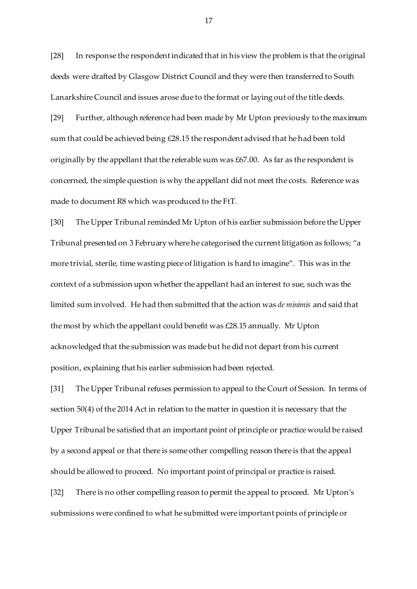[28] In response the respondent indicated that in his view the problem is that the original deeds were drafted by Glasgow District Council and they were then transferred to South Lanarkshire Council and issues arose due to the format or laying out of the title deeds.

[29] Further, although reference had been made by Mr Upton previously to the maximum sum that could be achieved being £28.15 the respondent advised that he had been told originally by the appellant that the referable sum was  $£67.00$ . As far as the respondent is concerned, the simple question is why the appellant did not meet the costs. Reference was made to document R8 which was produced to the FtT.

[30] The Upper Tribunal reminded Mr Upton of his earlier submission before the Upper Tribunal presented on 3 February where he categorised the current litigation as follows; "a more trivial, sterile, time wasting piece of litigation is hard to imagine". This was in the context of a submission upon whether the appellant had an interest to sue, such was the limited sum involved. He had then submitted that the action was *de minimis* and said that the most by which the appellant could benefit was £28.15 annually. Mr Upton acknowledged that the submission was made but he did not depart from his current position, explaining that his earlier submission had been rejected.

[31] The Upper Tribunal refuses permission to appeal to the Court of Session. In terms of section 50(4) of the 2014 Act in relation to the matter in question it is necessary that the Upper Tribunal be satisfied that an important point of principle or practice would be raised by a second appeal or that there is some other compelling reason there is that the appeal should be allowed to proceed. No important point of principal or practice is raised.

[32] There is no other compelling reason to permit the appeal to proceed. Mr Upton's submissions were confined to what he submitted were important points of principle or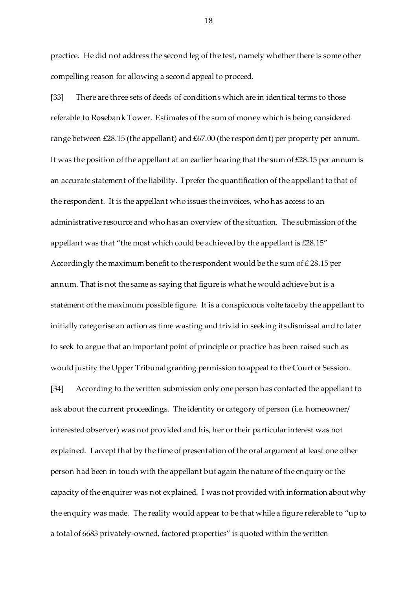practice. He did not address the second leg of the test, namely whether there is some other compelling reason for allowing a second appeal to proceed.

[33] There are three sets of deeds of conditions which are in identical terms to those referable to Rosebank Tower. Estimates of the sum of money which is being considered range between £28.15 (the appellant) and £67.00 (the respondent) per property per annum. It was the position of the appellant at an earlier hearing that the sum of  $\text{\textsterling}28.15$  per annum is an accurate statement of the liability. I prefer the quantification of the appellant to that of the respondent. It is the appellant who issues the invoices, who has access to an administrative resource and who has an overview of the situation. The submission of the appellant was that "the most which could be achieved by the appellant is £28.15" Accordingly the maximum benefit to the respondent would be the sum of  $\text{\pounds}\,28.15$  per annum. That is not the same as saying that figure is what he would achieve but is a statement of the maximum possible figure. It is a conspicuous volte face by the appellant to initially categorise an action as time wasting and trivial in seeking its dismissal and to later to seek to argue that an important point of principle or practice has been raised such as would justify the Upper Tribunal granting permission to appeal to the Court of Session.

[34] According to the written submission only one person has contacted the appellant to ask about the current proceedings. The identity or category of person (i.e. homeowner/ interested observer) was not provided and his, her or their particular interest was not explained. I accept that by the time of presentation of the oral argument at least one other person had been in touch with the appellant but again the nature of the enquiry or the capacity of the enquirer was not explained. I was not provided with information about why the enquiry was made. The reality would appear to be that while a figure referable to "up to a total of 6683 privately-owned, factored properties" is quoted within the written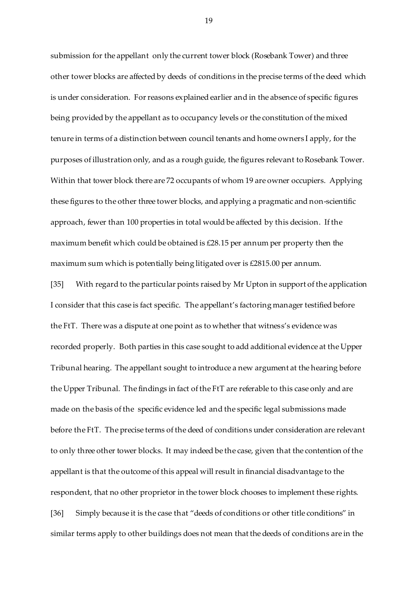submission for the appellant only the current tower block (Rosebank Tower) and three other tower blocks are affected by deeds of conditions in the precise terms of the deed which is under consideration. For reasons explained earlier and in the absence of specific figures being provided by the appellant as to occupancy levels or the constitution of the mixed tenure in terms of a distinction between council tenants and home owners I apply, for the purposes of illustration only, and as a rough guide, the figures relevant to Rosebank Tower. Within that tower block there are 72 occupants of whom 19 are owner occupiers. Applying these figures to the other three tower blocks, and applying a pragmatic and non-scientific approach, fewer than 100 properties in total would be affected by this decision. If the maximum benefit which could be obtained is £28.15 per annum per property then the maximum sum which is potentially being litigated over is £2815.00 per annum.

[35] With regard to the particular points raised by Mr Upton in support of the application I consider that this case is fact specific. The appellant's factoring manager testified before the FtT. There was a dispute at one point as to whether that witness's evidence was recorded properly. Both parties in this case sought to add additional evidence at the Upper Tribunal hearing. The appellant sought to introduce a new argument at the hearing before the Upper Tribunal. The findings in fact of the FtT are referable to this case only and are made on the basis of the specific evidence led and the specific legal submissions made before the FtT. The precise terms of the deed of conditions under consideration are relevant to only three other tower blocks. It may indeed be the case, given that the contention of the appellant is that the outcome of this appeal will result in financial disadvantage to the respondent, that no other proprietor in the tower block chooses to implement these rights. [36] Simply because it is the case that "deeds of conditions or other title conditions" in similar terms apply to other buildings does not mean that the deeds of conditions are in the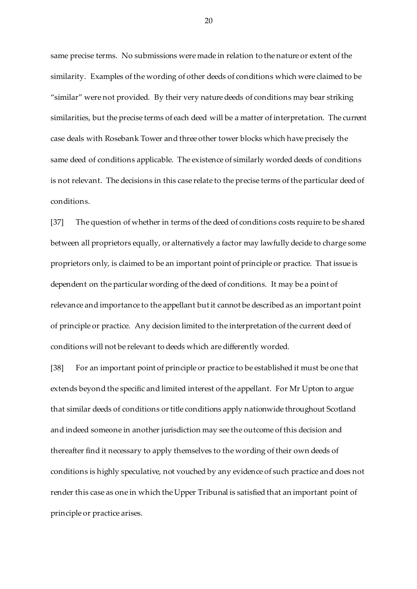same precise terms. No submissions were made in relation to the nature or extent of the similarity. Examples of the wording of other deeds of conditions which were claimed to be "similar" were not provided. By their very nature deeds of conditions may bear striking similarities, but the precise terms of each deed will be a matter of interpretation. The current case deals with Rosebank Tower and three other tower blocks which have precisely the same deed of conditions applicable. The existence of similarly worded deeds of conditions is not relevant. The decisions in this case relate to the precise terms of the particular deed of conditions.

[37] The question of whether in terms of the deed of conditions costs require to be shared between all proprietors equally, or alternatively a factor may lawfully decide to charge some proprietors only, is claimed to be an important point of principle or practice. That issue is dependent on the particular wording of the deed of conditions. It may be a point of relevance and importance to the appellant but it cannot be described as an important point of principle or practice. Any decision limited to the interpretation of the current deed of conditions will not be relevant to deeds which are differently worded.

[38] For an important point of principle or practice to be established it must be one that extends beyond the specific and limited interest of the appellant. For Mr Upton to argue that similar deeds of conditions or title conditions apply nationwide throughout Scotland and indeed someone in another jurisdiction may see the outcome of this decision and thereafter find it necessary to apply themselves to the wording of their own deeds of conditions is highly speculative, not vouched by any evidence of such practice and does not render this case as one in which the Upper Tribunal is satisfied that an important point of principle or practice arises.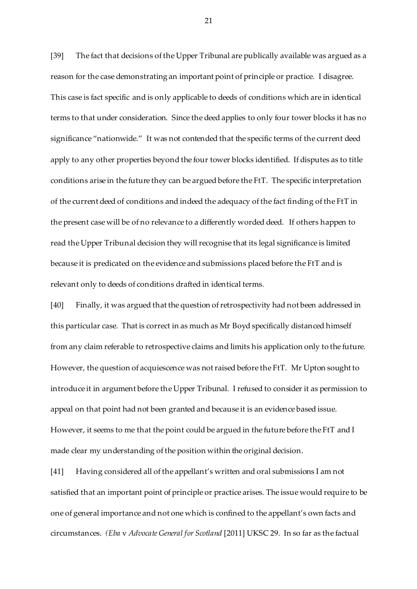[39] The fact that decisions of the Upper Tribunal are publically available was argued as a reason for the case demonstrating an important point of principle or practice. I disagree. This case is fact specific and is only applicable to deeds of conditions which are in identical terms to that under consideration. Since the deed applies to only four tower blocks it has no significance "nationwide." It was not contended that the specific terms of the current deed apply to any other properties beyond the four tower blocks identified. If disputes as to title conditions arise in the future they can be argued before the FtT. The specific interpretation of the current deed of conditions and indeed the adequacy of the fact finding of the FtT in the present case will be of no relevance to a differently worded deed. If others happen to read the Upper Tribunal decision they will recognise that its legal significance is limited because it is predicated on the evidence and submissions placed before the FtT and is relevant only to deeds of conditions drafted in identical terms.

[40] Finally, it was argued that the question of retrospectivity had not been addressed in this particular case. That is correct in as much as Mr Boyd specifically distanced himself from any claim referable to retrospective claims and limits his application only to the future. However, the question of acquiescence was not raised before the FtT. Mr Upton sought to introduce it in argument before the Upper Tribunal. I refused to consider it as permission to appeal on that point had not been granted and because it is an evidence based issue. However, it seems to me that the point could be argued in the future before the FtT and I made clear my understanding of the position within the original decision.

[41] Having considered all of the appellant's written and oral submissions I am not satisfied that an important point of principle or practice arises. The issue would require to be one of general importance and not one which is confined to the appellant's own facts and circumstances. *(Eba* v *Advocate General for Scotland* [2011] UKSC 29. In so far as the factual